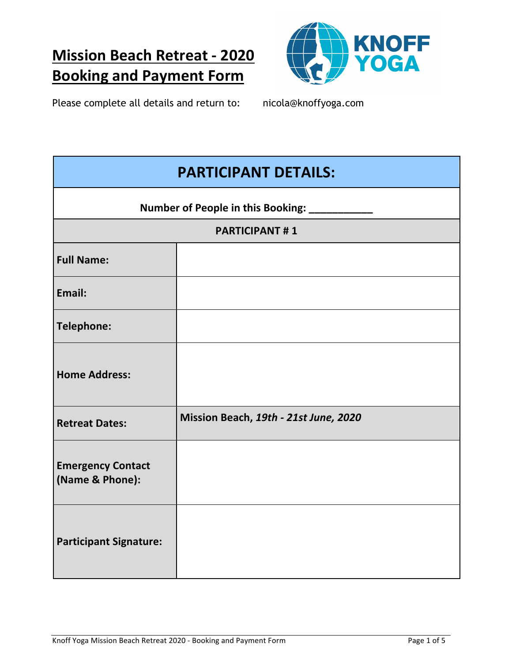# **Mission Beach Retreat - 2020 Booking and Payment Form**



Please complete all details and return to: nicola@knoffyoga.com

| <b>PARTICIPANT DETAILS:</b>                 |                                       |  |
|---------------------------------------------|---------------------------------------|--|
| Number of People in this Booking: __        |                                       |  |
| <b>PARTICIPANT#1</b>                        |                                       |  |
| <b>Full Name:</b>                           |                                       |  |
| Email:                                      |                                       |  |
| <b>Telephone:</b>                           |                                       |  |
| <b>Home Address:</b>                        |                                       |  |
| <b>Retreat Dates:</b>                       | Mission Beach, 19th - 21st June, 2020 |  |
| <b>Emergency Contact</b><br>(Name & Phone): |                                       |  |
| <b>Participant Signature:</b>               |                                       |  |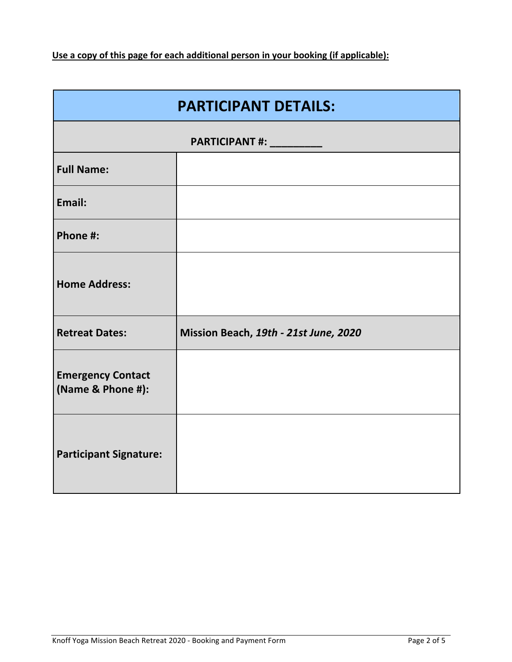Use a copy of this page for each additional person in your booking (if applicable):

| <b>PARTICIPANT DETAILS:</b>                   |                                       |  |
|-----------------------------------------------|---------------------------------------|--|
| PARTICIPANT #: __________                     |                                       |  |
| <b>Full Name:</b>                             |                                       |  |
| Email:                                        |                                       |  |
| Phone #:                                      |                                       |  |
| <b>Home Address:</b>                          |                                       |  |
| <b>Retreat Dates:</b>                         | Mission Beach, 19th - 21st June, 2020 |  |
| <b>Emergency Contact</b><br>(Name & Phone #): |                                       |  |
| <b>Participant Signature:</b>                 |                                       |  |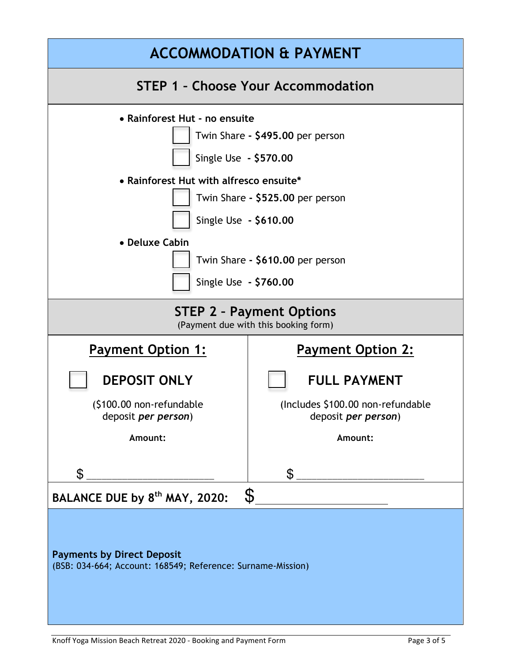| <b>ACCOMMODATION &amp; PAYMENT</b>                                                                                                                                                                                                                                                |                                                           |  |  |
|-----------------------------------------------------------------------------------------------------------------------------------------------------------------------------------------------------------------------------------------------------------------------------------|-----------------------------------------------------------|--|--|
| <b>STEP 1 - Choose Your Accommodation</b>                                                                                                                                                                                                                                         |                                                           |  |  |
| • Rainforest Hut - no ensuite<br>Twin Share - \$495.00 per person<br>Single Use - \$570.00<br>• Rainforest Hut with alfresco ensuite*<br>Twin Share - \$525.00 per person<br>Single Use - \$610.00<br>• Deluxe Cabin<br>Twin Share - \$610.00 per person<br>Single Use - \$760.00 |                                                           |  |  |
| <b>STEP 2 - Payment Options</b><br>(Payment due with this booking form)                                                                                                                                                                                                           |                                                           |  |  |
| <b>Payment Option 1:</b>                                                                                                                                                                                                                                                          | <b>Payment Option 2:</b>                                  |  |  |
| <b>DEPOSIT ONLY</b><br>(\$100.00 non-refundable                                                                                                                                                                                                                                   | <b>FULL PAYMENT</b><br>(Includes \$100.00 non-refundable) |  |  |
| deposit <i>per person</i> )<br>Amount:                                                                                                                                                                                                                                            | deposit <i>per person</i> )<br>Amount:                    |  |  |
| $\mathfrak{L}$                                                                                                                                                                                                                                                                    | $\mathbb S$                                               |  |  |
| $\boldsymbol{\mathcal{S}}$<br>BALANCE DUE by 8 <sup>th</sup> MAY, 2020:                                                                                                                                                                                                           |                                                           |  |  |
| <b>Payments by Direct Deposit</b><br>(BSB: 034-664; Account: 168549; Reference: Surname-Mission)                                                                                                                                                                                  |                                                           |  |  |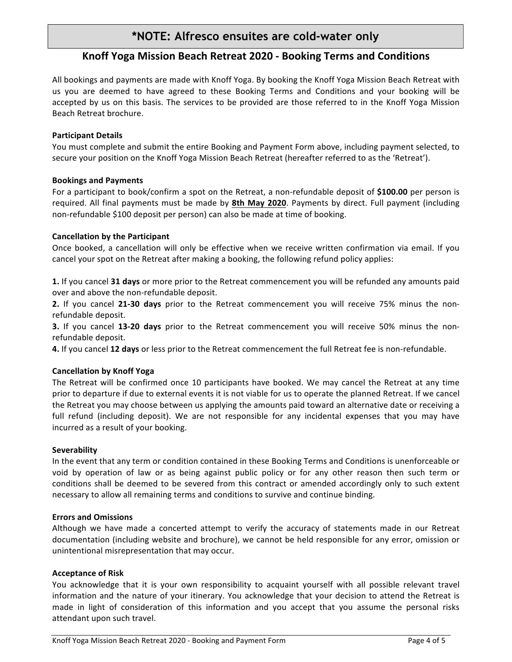## **\*NOTE: Alfresco ensuites are cold-water only**

### **Knoff Yoga Mission Beach Retreat 2020 - Booking Terms and Conditions**

All bookings and payments are made with Knoff Yoga. By booking the Knoff Yoga Mission Beach Retreat with us you are deemed to have agreed to these Booking Terms and Conditions and your booking will be accepted by us on this basis. The services to be provided are those referred to in the Knoff Yoga Mission Beach Retreat brochure.

#### **Participant Details**

You must complete and submit the entire Booking and Payment Form above, including payment selected, to secure your position on the Knoff Yoga Mission Beach Retreat (hereafter referred to as the 'Retreat').

#### **Bookings and Payments**

For a participant to book/confirm a spot on the Retreat, a non-refundable deposit of \$100.00 per person is required. All final payments must be made by 8th May 2020. Payments by direct. Full payment (including non-refundable \$100 deposit per person) can also be made at time of booking.

#### **Cancellation by the Participant**

Once booked, a cancellation will only be effective when we receive written confirmation via email. If you cancel your spot on the Retreat after making a booking, the following refund policy applies:

**1.** If you cancel **31 days** or more prior to the Retreat commencement you will be refunded any amounts paid over and above the non-refundable deposit.

**2.** If you cancel 21-30 days prior to the Retreat commencement you will receive 75% minus the nonrefundable deposit.

**3.** If you cancel **13-20 days** prior to the Retreat commencement you will receive 50% minus the nonrefundable deposit.

**4.** If you cancel 12 days or less prior to the Retreat commencement the full Retreat fee is non-refundable.

#### **Cancellation by Knoff Yoga**

The Retreat will be confirmed once 10 participants have booked. We may cancel the Retreat at any time prior to departure if due to external events it is not viable for us to operate the planned Retreat. If we cancel the Retreat you may choose between us applying the amounts paid toward an alternative date or receiving a full refund (including deposit). We are not responsible for any incidental expenses that you may have incurred as a result of your booking.

#### **Severability**

In the event that any term or condition contained in these Booking Terms and Conditions is unenforceable or void by operation of law or as being against public policy or for any other reason then such term or conditions shall be deemed to be severed from this contract or amended accordingly only to such extent necessary to allow all remaining terms and conditions to survive and continue binding.

#### **Errors and Omissions**

Although we have made a concerted attempt to verify the accuracy of statements made in our Retreat documentation (including website and brochure), we cannot be held responsible for any error, omission or unintentional misrepresentation that may occur.

#### **Acceptance of Risk**

You acknowledge that it is your own responsibility to acquaint yourself with all possible relevant travel information and the nature of your itinerary. You acknowledge that your decision to attend the Retreat is made in light of consideration of this information and you accept that you assume the personal risks attendant upon such travel.